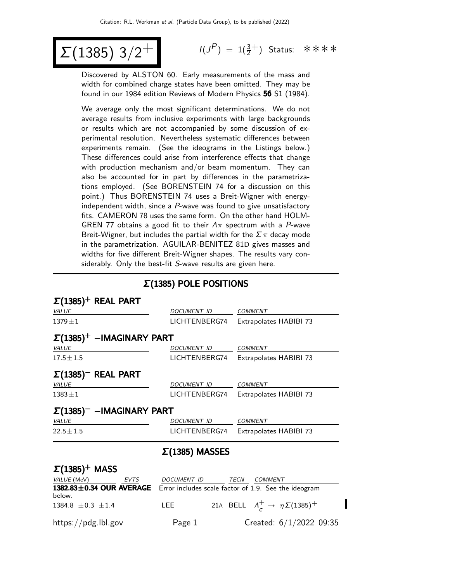# $Σ(1385)$  3/2<sup>+</sup>

 $(P) = 1(\frac{3}{2}^+)$  Status: \*\*\*\*

Discovered by ALSTON 60. Early measurements of the mass and width for combined charge states have been omitted. They may be found in our 1984 edition Reviews of Modern Physics 56 S1 (1984).

We average only the most significant determinations. We do not average results from inclusive experiments with large backgrounds or results which are not accompanied by some discussion of experimental resolution. Nevertheless systematic differences between experiments remain. (See the ideograms in the Listings below.) These differences could arise from interference effects that change with production mechanism and/or beam momentum. They can also be accounted for in part by differences in the parametrizations employed. (See BORENSTEIN 74 for a discussion on this point.) Thus BORENSTEIN 74 uses a Breit-Wigner with energyindependent width, since a  $P$ -wave was found to give unsatisfactory fits. CAMERON 78 uses the same form. On the other hand HOLM-GREN 77 obtains a good fit to their  $\Lambda \pi$  spectrum with a P-wave Breit-Wigner, but includes the partial width for the  $\Sigma \pi$  decay mode in the parametrization. AGUILAR-BENITEZ 81D gives masses and widths for five different Breit-Wigner shapes. The results vary considerably. Only the best-fit S-wave results are given here.

#### Σ(1385) POLE POSITIONS

| $\Sigma(1385)^+$ REAL PART         |                       |                                                         |
|------------------------------------|-----------------------|---------------------------------------------------------|
| <b>VALUE</b>                       | DOCUMENT ID           | <b>COMMENT</b>                                          |
| $1379 \pm 1$                       | LICHTENBERG74         | Extrapolates HABIBI 73                                  |
| $\Sigma(1385)^+$ -IMAGINARY PART   |                       |                                                         |
| VALUE                              | DOCUMENT ID           | <b>COMMENT</b>                                          |
| $17.5 \pm 1.5$                     | LICHTENBERG74         | Extrapolates HABIBI 73                                  |
| $\Sigma(1385)^-$ REAL PART         |                       |                                                         |
| VALUE                              | <b>DOCUMENT ID</b>    | <b>COMMENT</b>                                          |
| $1383 \pm 1$                       | LICHTENBERG74         | Extrapolates HABIBI 73                                  |
| $\Sigma(1385)^-$ -IMAGINARY PART   |                       |                                                         |
| <b>VALUE</b>                       | DOCUMENT ID           | <b>COMMENT</b>                                          |
| $22.5 \pm 1.5$                     | LICHTENBERG74         | Extrapolates HABIBI 73                                  |
|                                    | $\Sigma(1385)$ MASSES |                                                         |
| $\Sigma(1385)^+$ MASS              |                       |                                                         |
| VALUE (MeV)<br>EVTS                | <b>DOCUMENT ID</b>    | TECN<br>COMMENT                                         |
| 1382.83±0.34 OUR AVERAGE<br>below. |                       | Error includes scale factor of 1.9. See the ideogram    |
| 1384.8 $\pm$ 0.3 $\pm$ 1.4         | LEE                   | 21A BELL $\Lambda_c^+ \rightarrow \eta \Sigma (1385)^+$ |
| https://pdg.lbl.gov                | Page 1                | Created: 6/1/2022 09:35                                 |

П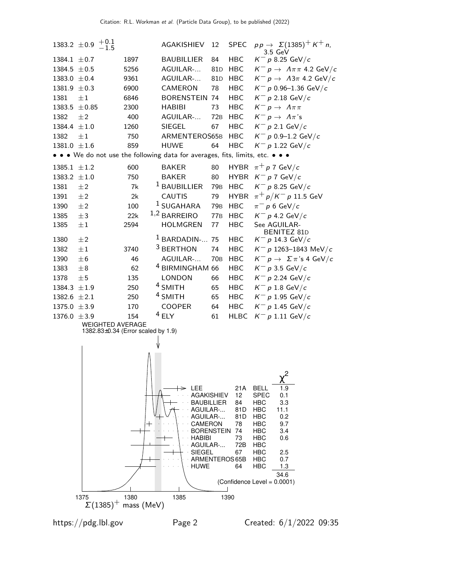

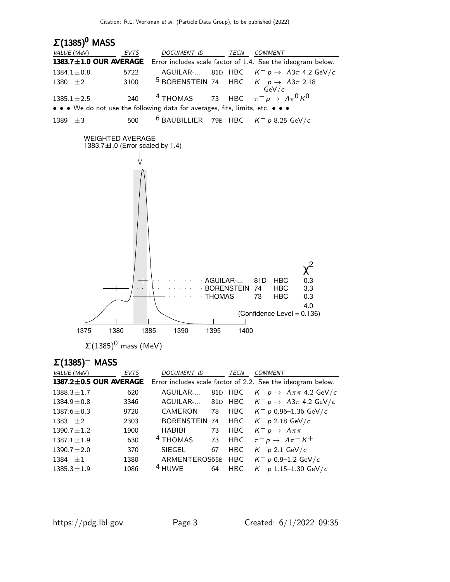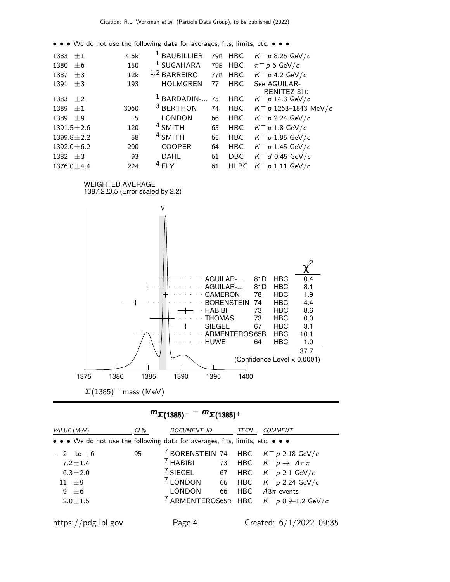• • • We do not use the following data for averages, fits, limits, etc. • • •

| 1383 $\pm 1$     |         | 4.5k | <sup>1</sup> BAUBILLIER | 79 <sub>B</sub> | <b>HBC</b>  | $K^- p 8.25 \text{ GeV}/c$  |
|------------------|---------|------|-------------------------|-----------------|-------------|-----------------------------|
| 1380             | $\pm 6$ | 150  | <sup>1</sup> SUGAHARA   | 79 <sub>B</sub> | <b>HBC</b>  | $\pi^-$ p 6 GeV/c           |
| 1387             | $\pm$ 3 | 12k  | 1,2<br><b>BARREIRO</b>  | <b>77B</b>      | <b>HBC</b>  | $K^- p$ 4.2 GeV/c           |
| 1391             | $\pm$ 3 | 193  | <b>HOLMGREN</b>         | 77              | <b>HBC</b>  | See AGUILAR-<br>BENITEZ 81D |
| 1383 $\pm 2$     |         |      | $1$ BARDADIN- 75        |                 | <b>HBC</b>  | $K^- p$ 14.3 GeV/c          |
| 1389             | $+1$    | 3060 | <sup>3</sup> BERTHON    | 74              | <b>HBC</b>  | $K^- p$ 1263–1843 MeV/c     |
| $1389 + 9$       |         | 15   | <b>LONDON</b>           | 66              | <b>HBC</b>  | $K^- p$ 2.24 GeV/c          |
| $1391.5 \pm 2.6$ |         | 120  | <sup>4</sup> SMITH      | 65              | <b>HBC</b>  | $K^- p 1.8 \text{ GeV}/c$   |
| $1399.8 \pm 2.2$ |         | 58   | <sup>4</sup> SMITH      | 65              | <b>HBC</b>  | $K^- p 1.95 \text{ GeV}/c$  |
| $1392.0 \pm 6.2$ |         | 200  | <b>COOPER</b>           | 64              | <b>HBC</b>  | $K^- p 1.45 \text{ GeV}/c$  |
| $1382 + 3$       |         | 93   | <b>DAHL</b>             | 61              | <b>DBC</b>  | $K^-$ d 0.45 GeV/c          |
| $1376.0 \pm 4.4$ |         | 224  | $4$ FLY                 | 61              | <b>HLBC</b> | $K^-$ p 1.11 GeV/c          |
|                  |         |      |                         |                 |             |                             |



| <i>VALUE</i> (MeV)                                                            | $CL\%$ | <b>DOCUMENT ID</b>  |      | TECN | COMMENT                                              |
|-------------------------------------------------------------------------------|--------|---------------------|------|------|------------------------------------------------------|
| • • • We do not use the following data for averages, fits, limits, etc. • • • |        |                     |      |      |                                                      |
| $-2$ to $+6$                                                                  | 95     |                     |      |      | <sup>7</sup> BORENSTEIN 74 HBC $K^- p$ 2.18 GeV/c    |
| $7.2 \pm 1.4$                                                                 |        | <sup>7</sup> HABIBI |      |      | 73 HBC $K^- p \to \Lambda \pi \pi$                   |
| $6.3 \pm 2.0$                                                                 |        |                     |      |      | <sup>7</sup> SIEGEL 67 HBC $K^- p 2.1$ GeV/c         |
| $11 + 9$                                                                      |        |                     |      |      | <sup>7</sup> LONDON 66 HBC $K^- p$ 2.24 GeV/c        |
| 9 $\pm 6$                                                                     |        | <b>LONDON</b>       | - 66 |      | HBC $\Lambda 3\pi$ events                            |
| $2.0 \pm 1.5$                                                                 |        |                     |      |      | <sup>7</sup> ARMENTEROS65B HBC $K^- p$ 0.9-1.2 GeV/c |
| https://pdg.lbl.gov                                                           |        | Page 4              |      |      | Created: $6/1/2022$ 09:35                            |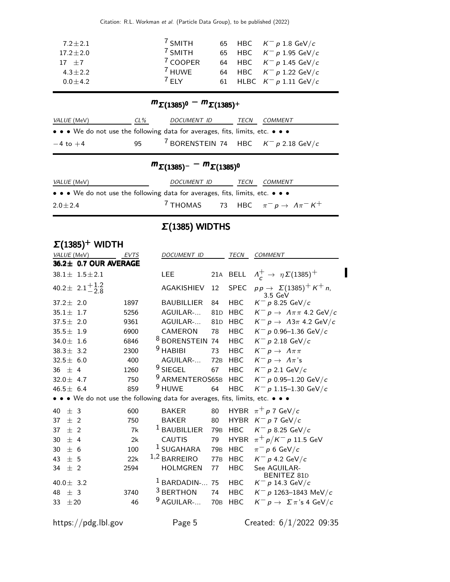Citation: R.L. Workman et al. (Particle Data Group), to be published (2022)

| <sup>7</sup> SMITH<br>$17.2 \pm 2.0$<br><sup>7</sup> COOPER<br>64 HBC $K^- p 1.45 \text{ GeV}/c$<br>$17 + 7$<br><sup>7</sup> HUWE<br>64 HBC $K^- p 1.22 \text{ GeV}/c$<br>$4.3 + 2.2$ | 65 HBC $K^- p 1.8 \text{ GeV}/c$<br>65 HBC $K^- p 1.95 \text{ GeV}/c$ |
|---------------------------------------------------------------------------------------------------------------------------------------------------------------------------------------|-----------------------------------------------------------------------|
|                                                                                                                                                                                       |                                                                       |
| $7$ FIY<br>61 HLBC $K^- p 1.11 \text{ GeV}/c$<br>$0.0 \pm 4.2$                                                                                                                        |                                                                       |

### $m_{\Sigma(1385)^0} - m_{\Sigma(1385)^+}$

| <i>VALUE</i> (MeV)                                                            | CL% | <i>DOCUMENT ID</i>                                | TECN | <i>COMMENT</i> |
|-------------------------------------------------------------------------------|-----|---------------------------------------------------|------|----------------|
| • • • We do not use the following data for averages, fits, limits, etc. • • • |     |                                                   |      |                |
| $-4$ to $+4$                                                                  | 95  | <sup>7</sup> BORENSTEIN 74 HBC $K^- p$ 2.18 GeV/c |      |                |

### $m_{\Sigma(1385)^{-}} - m_{\Sigma(1385)^{0}}$

| <i>VALUE</i> (MeV)                                                            | DOCUMENT ID | TECN | <i>COMMENT</i>                                             |  |
|-------------------------------------------------------------------------------|-------------|------|------------------------------------------------------------|--|
| • • • We do not use the following data for averages, fits, limits, etc. • • • |             |      |                                                            |  |
| $2.0 \pm 2.4$                                                                 |             |      | <sup>7</sup> THOMAS 73 HBC $\pi^- p \to \Lambda \pi^- K^+$ |  |

## Σ(1385) WIDTHS

| $\Sigma(1385)^+$ WIDTH                                                        |             |                            |                 |             |                                                                 |
|-------------------------------------------------------------------------------|-------------|----------------------------|-----------------|-------------|-----------------------------------------------------------------|
| VALUE (MeV)                                                                   | <b>EVTS</b> | <b>DOCUMENT ID</b>         |                 | <b>TECN</b> | <b>COMMENT</b>                                                  |
| 36.2± 0.7 OUR AVERAGE                                                         |             |                            |                 |             |                                                                 |
| $38.1 \pm 1.5 \pm 2.1$                                                        |             | <b>LEE</b>                 |                 | 21A BELL    | $\Lambda_c^+ \rightarrow \eta \Sigma (1385)^+$                  |
| 40.2 ± $2.1^{+1.2}_{-2.8}$                                                    |             | <b>AGAKISHIEV</b>          | 12              | <b>SPEC</b> | $pp \rightarrow \Sigma(1385)^+ K^+ n$ ,<br>$3.5 \text{ GeV}$    |
| $37.2 \pm 2.0$                                                                | 1897        | <b>BAUBILLIER</b>          | 84              | <b>HBC</b>  | $K^- p 8.25 \text{ GeV}/c$                                      |
| $35.1 \pm 1.7$                                                                | 5256        | AGUILAR-                   | 81 <sub>D</sub> | <b>HBC</b>  | $K^- p \rightarrow \Lambda \pi \pi 4.2 \text{ GeV}/c$           |
| $37.5 \pm 2.0$                                                                | 9361        | AGUILAR-                   | 81 <sub>D</sub> | <b>HBC</b>  | $K^- p \rightarrow A3\pi$ 4.2 GeV/c                             |
| $35.5 \pm 1.9$                                                                | 6900        | CAMERON                    | 78              | <b>HBC</b>  | $K^- p 0.96 - 1.36 \text{ GeV}/c$                               |
| 34.0 $\pm$ 1.6                                                                | 6846        | <sup>8</sup> BORENSTEIN 74 |                 | <b>HBC</b>  | $K^-$ p 2.18 GeV/c                                              |
| $38.3 \pm 3.2$                                                                | 2300        | $9$ HABIBI                 | 73              | <b>HBC</b>  | $K^- p \to \Lambda \pi \pi$                                     |
| 32.5 $\pm$ 6.0                                                                | 400         | AGUILAR-                   | 72B             | <b>HBC</b>  | $\mathsf{K}^-\,\mathsf{p}\rightarrow\,\mathsf{\Lambda}\pi\,$ 's |
| 36 $\pm$ 4                                                                    | 1260        | $9$ SIEGEL                 | 67              | <b>HBC</b>  | $K^-$ p 2.1 GeV/c                                               |
| 32.0 $\pm$ 4.7                                                                | 750         | 9 ARMENTEROS65B            |                 | <b>HBC</b>  | $K^- p$ 0.95-1.20 GeV/c                                         |
| 46.5 $\pm$ 6.4                                                                | 859         | <sup>9</sup> HUWE          | 64              | <b>HBC</b>  | $K^- p$ 1.15-1.30 GeV/c                                         |
| • • • We do not use the following data for averages, fits, limits, etc. • • • |             |                            |                 |             |                                                                 |
| ± 3<br>40                                                                     | 600         | <b>BAKER</b>               | 80              |             | HYBR $\pi^+ p$ 7 GeV/c                                          |
| $±$ 2<br>37                                                                   | 750         | <b>BAKER</b>               | 80              | <b>HYBR</b> | $K^- p 7 \text{ GeV}/c$                                         |
| $±$ 2<br>37                                                                   | 7k          | <sup>1</sup> BAUBILLIER    | 79 <sub>B</sub> | <b>HBC</b>  | $K^- p 8.25 \text{ GeV}/c$                                      |
| 30<br>$+4$                                                                    | 2k          | <b>CAUTIS</b>              | 79              | HYBR        | $\pi^{+}p/K^{-}p$ 11.5 GeV                                      |
| 30<br>$+6$                                                                    | 100         | $^1$ SUGAHARA              | 79 <sub>B</sub> | <b>HBC</b>  | $\pi^-$ p 6 GeV/c                                               |
| 43<br>$+5$                                                                    | 22k         | $1,2$ BARREIRO             | <b>77B</b>      | <b>HBC</b>  | $K^- p$ 4.2 GeV/c                                               |
| $±$ 2<br>34                                                                   | 2594        | <b>HOLMGREN</b>            | 77              | <b>HBC</b>  | See AGUILAR-                                                    |
| 40.0 $\pm$ 3.2                                                                |             | BARDADIN-                  | 75              | <b>HBC</b>  | <b>BENITEZ 81D</b><br>$K^- p$ 14.3 GeV/c                        |
| ± 3<br>48                                                                     | 3740        | <sup>3</sup> BERTHON       | 74              | <b>HBC</b>  | $K^-$ p 1263-1843 MeV/c                                         |
| ±20<br>33                                                                     | 46          | AGUILAR-                   | <b>70B</b>      | <b>HBC</b>  | $K^- p \to \Sigma \pi$ 's 4 GeV/c                               |
|                                                                               |             |                            |                 |             |                                                                 |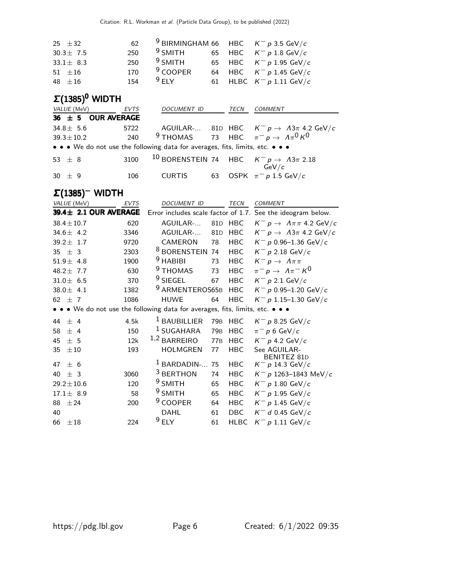| 62  |                                                             |                                                  |
|-----|-------------------------------------------------------------|--------------------------------------------------|
|     |                                                             | 65 HBC $K^- p 1.8 \text{ GeV}/c$                 |
|     |                                                             | 65 HBC $K^- p 1.95 \text{ GeV}/c$                |
| 170 |                                                             | 64 HBC $K^- p 1.45 \text{ GeV}/c$                |
|     |                                                             | 61 HLBC $K^- p 1.11 \text{ GeV}/c$               |
|     | 250 $9$ SMITH<br>250 $9$ SMITH<br>$9$ COOPER<br>154 $9$ ELY | <sup>9</sup> BIRMINGHAM 66 HBC $K^- p$ 3.5 GeV/c |

### $Σ(1385)<sup>0</sup>$  WIDTH

| <i>VALUE</i> (MeV)     | EVTS | DOCUMENT ID                                                                   |    | TECN | <b>COMMENT</b>                                                          |
|------------------------|------|-------------------------------------------------------------------------------|----|------|-------------------------------------------------------------------------|
| 36 $\pm$ 5 OUR AVERAGE |      |                                                                               |    |      |                                                                         |
| $34.8 \pm 5.6$         | 5722 |                                                                               |    |      | AGUILAR- 81D HBC $K^- p \rightarrow A3\pi$ 4.2 GeV/c                    |
| $39.3 \pm 10.2$        | 240  |                                                                               |    |      | <sup>9</sup> THOMAS 73 HBC $\pi^- p \to A \pi^0 K^0$                    |
|                        |      | • • • We do not use the following data for averages, fits, limits, etc. • • • |    |      |                                                                         |
| 53 $\pm$ 8             | 3100 |                                                                               |    |      | <sup>10</sup> BORENSTEIN 74 HBC $K^- p \rightarrow A3\pi$ 2.18<br>GeV/c |
| $30 \pm 9$             | 106  | CURTIS                                                                        | 63 |      | OSPK $\pi^-$ p 1.5 GeV/c                                                |

#### Σ(1385)<sup>−</sup> WIDTH <sup>−</sup>

| VALUE (MeV)                                                                   | <b>EVTS</b> | <b>DOCUMENT ID</b>         |                 | <b>TECN</b> | <b>COMMENT</b>                                              |
|-------------------------------------------------------------------------------|-------------|----------------------------|-----------------|-------------|-------------------------------------------------------------|
| 39.4± 2.1 OUR AVERAGE                                                         |             |                            |                 |             | Error includes scale factor of 1.7. See the ideogram below. |
| $38.4 \pm 10.7$                                                               | 620         | AGUILAR-                   | 81D             | HBC         | $K^- p \rightarrow \Lambda \pi \pi 4.2 \text{ GeV}/c$       |
| 34.6 $\pm$ 4.2                                                                | 3346        | AGUILAR-                   | 81 <sub>D</sub> | <b>HBC</b>  | $K^- p \rightarrow A3\pi$ 4.2 GeV/c                         |
| $39.2 \pm 1.7$                                                                | 9720        | CAMERON                    | 78              | <b>HBC</b>  | $K^- p$ 0.96-1.36 GeV/c                                     |
| 35 $\pm$ 3                                                                    | 2303        | <sup>8</sup> BORENSTEIN 74 |                 | <b>HBC</b>  | $K^- p 2.18 \text{ GeV}/c$                                  |
| $51.9 \pm 4.8$                                                                | 1900        | $9$ HABIBI                 | 73              | <b>HBC</b>  | $K^- p \to \Lambda \pi \pi$                                 |
| 48.2 $\pm$ 7.7                                                                | 630         | <sup>9</sup> THOMAS        | 73              | <b>HBC</b>  | $\pi^- p \to \Lambda \pi^- K^0$                             |
| $31.0 \pm 6.5$                                                                | 370         | $9$ SIEGEL                 | 67              | <b>HBC</b>  | $K^-$ p 2.1 GeV/c                                           |
| 38.0 $\pm$ 4.1                                                                | 1382        | <sup>9</sup> ARMENTEROS65B |                 | <b>HBC</b>  | $K^- p$ 0.95-1.20 GeV/c                                     |
| 62 $\pm$ 7                                                                    | 1086        | <b>HUWE</b>                | 64              | HBC         | $K^- p$ 1.15-1.30 GeV/c                                     |
| • • • We do not use the following data for averages, fits, limits, etc. • • • |             |                            |                 |             |                                                             |
| ± 4<br>44                                                                     | 4.5k        | <sup>1</sup> BAUBILLIER    | 79 <sub>B</sub> | <b>HBC</b>  | $K^- p$ 8.25 GeV/c                                          |
| ± 4<br>58                                                                     | 150         | <sup>1</sup> SUGAHARA      | 79 <sub>B</sub> | <b>HBC</b>  | $\pi^-$ p 6 GeV/c                                           |
| ±5<br>45                                                                      | 12k         | $1,2$ BARREIRO             | 77 <sub>B</sub> | <b>HBC</b>  | $K^-$ p 4.2 GeV/c                                           |
| 35<br>$\pm 10$                                                                | 193         | <b>HOLMGREN</b>            | 77              | <b>HBC</b>  | See AGUILAR-                                                |
| ± 6<br>47                                                                     |             | $1$ BARDADIN-              | 75              | <b>HBC</b>  | <b>BENITEZ 81D</b><br>$K^- p$ 14.3 GeV/c                    |
| ± 3<br>40                                                                     | 3060        | <sup>3</sup> BERTHON       | 74              | <b>HBC</b>  | $K^-$ p 1263-1843 MeV/c                                     |
| $29.2 \pm 10.6$                                                               | 120         | $9$ SMITH                  | 65              | HBC         | $K^- p 1.80 \text{ GeV}/c$                                  |
| $17.1 \pm 8.9$                                                                | 58          | $9$ SMITH                  | 65              | <b>HBC</b>  | $K^- p 1.95 \text{ GeV}/c$                                  |
| ±24<br>88                                                                     | 200         | <sup>9</sup> COOPER        | 64              | <b>HBC</b>  | $K^- p 1.45 \text{ GeV}/c$                                  |
| 40                                                                            |             | <b>DAHL</b>                | 61              | <b>DBC</b>  | $K^-$ d 0.45 GeV/c                                          |
| 66<br>$\pm 18$                                                                | 224         | $9$ ELY                    | 61              | <b>HLBC</b> | $K^- p 1.11 \text{ GeV}/c$                                  |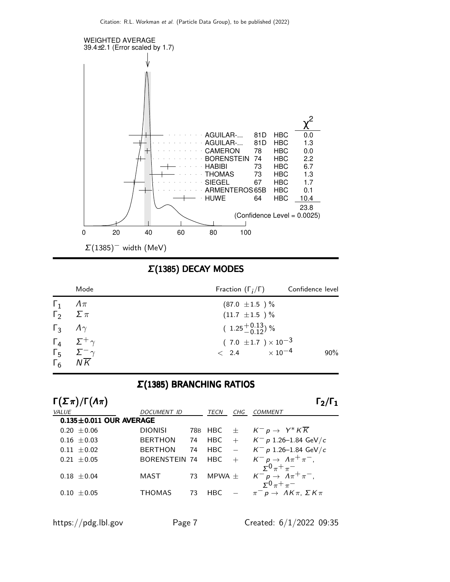

Σ(1385) DECAY MODES

| Mode                                                                                  | Fraction $(\Gamma_i/\Gamma)$ Confidence level |        |
|---------------------------------------------------------------------------------------|-----------------------------------------------|--------|
| $\Gamma_1$ $\Lambda \pi$                                                              | $(87.0 \pm 1.5)$ %                            |        |
| $\Gamma_2 \quad \Sigma \pi$                                                           | $(11.7 \pm 1.5) \%$                           |        |
| $\Gamma_3$ $A\gamma$                                                                  | $(1.25\frac{+0.13}{0.12})$ %                  |        |
| $\Gamma_4$ $\Sigma^+$ $\gamma$                                                        | $(7.0 \pm 1.7) \times 10^{-3}$                |        |
| $\begin{matrix} \Gamma_5 & \Sigma^- \gamma \\ \Gamma_6 & N \overline{K} \end{matrix}$ | $< 2.4 \times 10^{-4}$                        | $90\%$ |
|                                                                                       |                                               |        |

#### Σ(1385) BRANCHING RATIOS

|       | $\Gamma(\Sigma \pi)/\Gamma(\Lambda \pi)$ |                      |    |            |     | $\Gamma_2/\Gamma_1$                                                                    |
|-------|------------------------------------------|----------------------|----|------------|-----|----------------------------------------------------------------------------------------|
| VALUE |                                          | <b>DOCUMENT ID</b>   |    | TECN       | CHG | <b>COMMENT</b>                                                                         |
|       | $0.135 \pm 0.011$ OUR AVERAGE            |                      |    |            |     |                                                                                        |
|       | $0.20 \pm 0.06$                          | <b>DIONISI</b>       |    | 78B HBC    | $+$ | $K^- p \to Y^* K \overline{K}$                                                         |
|       | $0.16 + 0.03$                            | <b>BERTHON</b>       | 74 | <b>HBC</b> |     | $+$ K <sup>-</sup> p 1.26-1.84 GeV/c                                                   |
|       | $0.11 \pm 0.02$                          | <b>BERTHON</b>       | 74 | <b>HBC</b> |     | $ K^- p 1.26 - 1.84 \text{ GeV}/c$                                                     |
|       | $0.21 \pm 0.05$                          | <b>BORENSTEIN 74</b> |    | <b>HBC</b> | $+$ | $K^- p \rightarrow \Lambda \pi^+ \pi^-$ ,                                              |
|       | $0.18 + 0.04$                            | MAST                 | 73 | MPWA $\pm$ |     | $\Sigma^0 \pi^+ \pi^-$<br>$K^- p \rightarrow \Lambda \pi^+ \pi^-,$<br>$50 \pi^+ \pi^-$ |
|       | $0.10 + 0.05$                            | <b>THOMAS</b>        | 73 | <b>HBC</b> |     | $\pi^ p \to AK\pi, \Sigma K\pi$                                                        |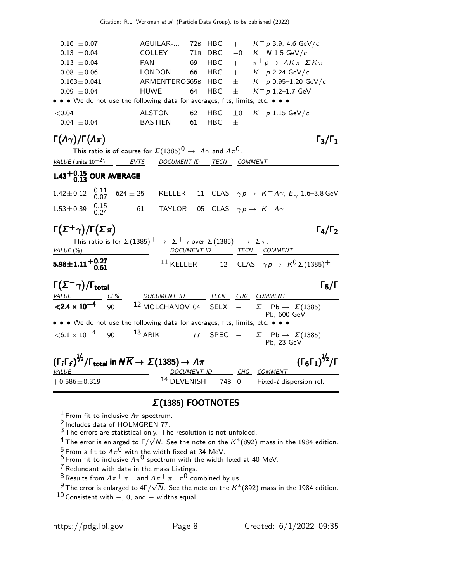| AGUILAR-                                                                      |  |    |  | 72B HBC + $K^- p$ 3.9, 4.6 GeV/c                                                                                                                                       |  |  |  |
|-------------------------------------------------------------------------------|--|----|--|------------------------------------------------------------------------------------------------------------------------------------------------------------------------|--|--|--|
|                                                                               |  |    |  |                                                                                                                                                                        |  |  |  |
| <b>PAN</b>                                                                    |  |    |  | 69 HBC + $\pi^+ p \rightarrow AK\pi$ , $\sum K\pi$                                                                                                                     |  |  |  |
| <b>LONDON</b>                                                                 |  |    |  |                                                                                                                                                                        |  |  |  |
|                                                                               |  |    |  |                                                                                                                                                                        |  |  |  |
| HUWE                                                                          |  |    |  | 64 HBC $\pm$ K <sup>-</sup> p 1.2-1.7 GeV                                                                                                                              |  |  |  |
| • • • We do not use the following data for averages, fits, limits, etc. • • • |  |    |  |                                                                                                                                                                        |  |  |  |
| <b>ALSTON</b>                                                                 |  |    |  | $\pm 0$ $K^- p 1.15$ GeV/c                                                                                                                                             |  |  |  |
| <b>BASTIEN</b>                                                                |  |    |  |                                                                                                                                                                        |  |  |  |
|                                                                               |  | 61 |  | COLLEY 71B DBC $-0$ K <sup>-</sup> N 1.5 GeV/c<br>66 HBC + $K^- p 2.24 \text{ GeV}/c$<br>ARMENTEROS65B HBC $\pm$ K <sup>-</sup> p 0.95-1.20 GeV/c<br>62 HBC<br>$HBC +$ |  |  |  |

### Γ $(A<sub>γ</sub>)/Γ(A<sub>π</sub>)$  Γ<sub>3</sub>/Γ<sub>1</sub>

 $\Gamma_3/\Gamma_1$ 

|                          |      | This ratio is of course for $\Sigma(1385)^0 \rightarrow A\gamma$ and $A\pi^0$ . |              |
|--------------------------|------|---------------------------------------------------------------------------------|--------------|
| VALUE (units $10^{-2}$ ) | EVTS | DOCUMENT ID                                                                     | TECN COMMENT |

# $1.43^{+0.15}_{-0.13}$  OUR AVERAGE

 $1.42\pm0.12\frac{+0.11}{-0.07}$  624 ± 25  $^{\rm +0.11}_{\rm -0.07}$  624  $\pm$  25  $\,$  KELLER  $\,$  11  $\,$  CLAS  $\,$   $\gamma$   $p$   $\rightarrow$   $\,$  K $^{\rm +}$   $\Lambda \gamma$ ,  $\,$   $E_{\gamma}$   $\,$  1.6–3.8 GeV  $\,$  $1.53\pm0.39\frac{+0.15}{-0.24}$ 61 TAYLOR 05 CLAS  $\gamma p \to K^+ \Lambda \gamma$ 

### $\Gamma(\Sigma^+\gamma)/\Gamma(\Sigma\pi)$   $\Gamma_4/\Gamma_2$

| $\Gamma(\Sigma^+\gamma)/\Gamma(\Sigma\pi)$                                                                              |             |      | $\Gamma_4/\Gamma_2$                                |
|-------------------------------------------------------------------------------------------------------------------------|-------------|------|----------------------------------------------------|
| This ratio is for $\Sigma(1385)^+$ $\rightarrow$ $\Sigma^+$ $\gamma$ over $\Sigma(1385)^+$ $\rightarrow$ $\Sigma \pi$ . |             |      |                                                    |
| VALUE (%)                                                                                                               | DOCUMENT ID | TECN | <i>COMMENT</i>                                     |
| $5.98 \pm 1.11 + 0.27$<br>-0.61                                                                                         | $11$ KELLER |      | 12 CLAS $\gamma p \rightarrow K^0 \Sigma (1385)^+$ |
|                                                                                                                         |             |      |                                                    |

| $\Gamma(\Sigma^- \gamma)/\Gamma_{\rm total}$                                                                                                                                   |        |                                                                               |  |       |     |                                                                     | $\mathsf{\Gamma}_5/\mathsf{\Gamma}$ |
|--------------------------------------------------------------------------------------------------------------------------------------------------------------------------------|--------|-------------------------------------------------------------------------------|--|-------|-----|---------------------------------------------------------------------|-------------------------------------|
| <b>VALUE</b>                                                                                                                                                                   | $CL\%$ | DOCUMENT ID TECN                                                              |  |       | CHG | COMMENT                                                             |                                     |
| $<$ 2.4 $\times$ 10 <sup>-4</sup>                                                                                                                                              | 90     | <sup>12</sup> MOLCHANOV 04 SELX $ \Sigma^-$ Pb $\rightarrow \Sigma(1385)^-$   |  |       |     | Pb, 600 GeV                                                         |                                     |
|                                                                                                                                                                                |        | • • • We do not use the following data for averages, fits, limits, etc. • • • |  |       |     |                                                                     |                                     |
| $<$ 6.1 $\times$ 10 <sup>-4</sup> 90 <sup>13</sup> ARIK                                                                                                                        |        |                                                                               |  |       |     | 77 SPEC $ \Sigma^-$ Pb $\rightarrow$ $\Sigma(1385)^-$<br>Pb, 23 GeV |                                     |
| $(\Gamma_i \Gamma_f)^{\frac{1}{2}} / \Gamma_{\text{total}}$ in $N \overline{K} \rightarrow \Sigma (1385) \rightarrow \Lambda \pi$<br>$(\Gamma_6\Gamma_1)^{\frac{1}{2}}/\Gamma$ |        |                                                                               |  |       |     |                                                                     |                                     |
| <i>VALUE</i>                                                                                                                                                                   |        | <b>DOCUMENT ID</b>                                                            |  |       | CHG | <b>COMMENT</b>                                                      |                                     |
| $+0.586 \pm 0.319$                                                                                                                                                             |        | <sup>14</sup> DEVENISH                                                        |  | 74B 0 |     | Fixed-t dispersion rel.                                             |                                     |

#### Σ(1385) FOOTNOTES

<sup>1</sup> From fit to inclusive  $\Lambda$ <sup>π</sup> spectrum.

 $\frac{2}{3}$  Includes data of HOLMGREN 77.

 $3$  The errors are statistical only. The resolution is not unfolded.

 $^4$  The error is enlarged to Γ $/ \sqrt{\overline{N}}$ . See the note on the  $K^*(892)$  mass in the 1984 edition.

 $^5$  From a fit to  $\Lambda\pi^0$  with the width fixed at 34 MeV.

 $^6$  From fit to inclusive  $\Lambda \pi^0$  spectrum with the width fixed at 40 MeV.

<sup>7</sup> Redundant with data in the mass Listings.

 $^8$  Results from  $A\pi^+\pi^-$  and  $A\pi^+\pi^-\pi^0$  combined by us.

 $^9$ The error is enlarged to 4Г/ $\sqrt{N}$ . See the note on the  $K^*(892)$  mass in the 1984 edition.

 $10$  Consistent with  $+$ , 0, and  $-$  widths equal.